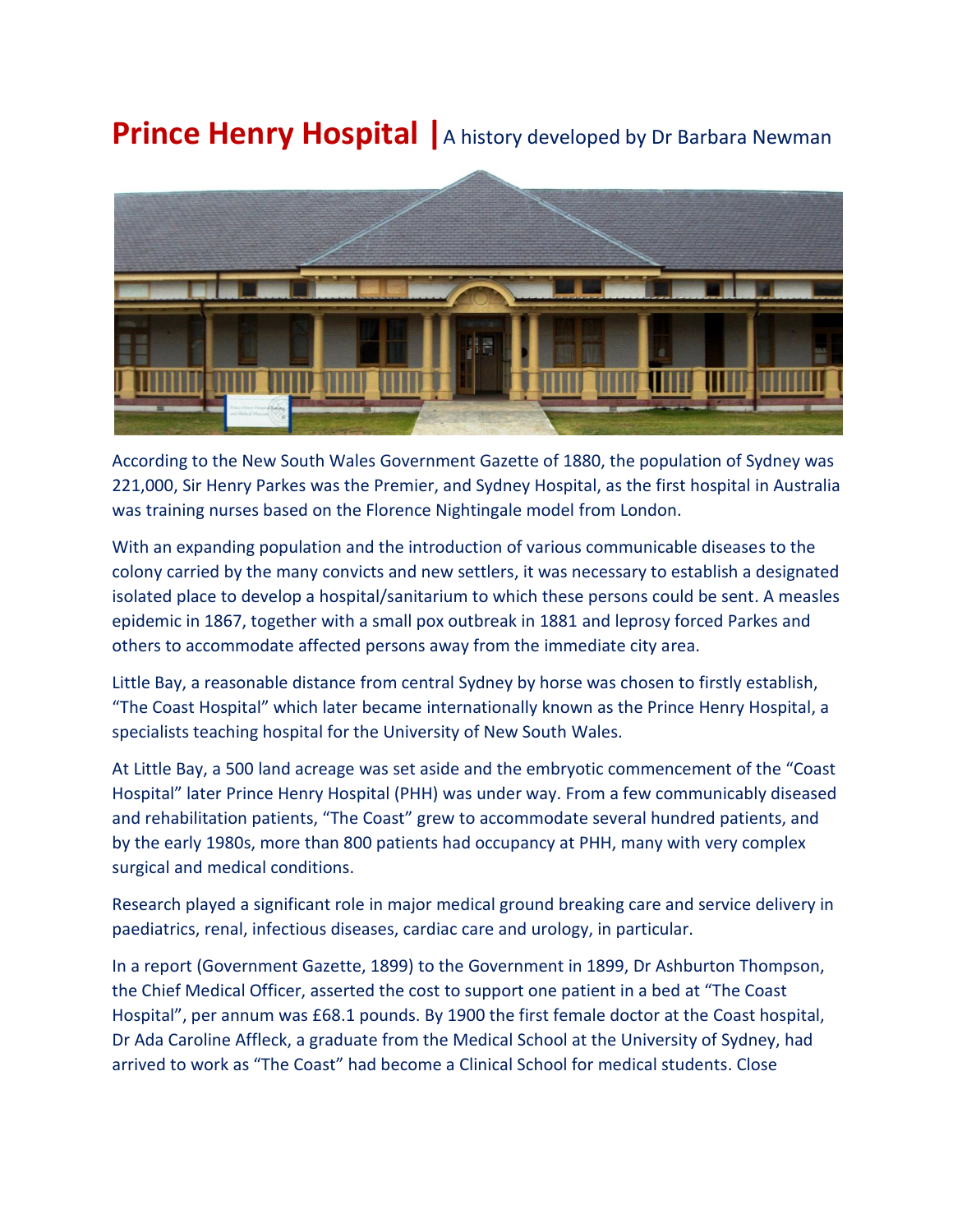## **Prince Henry Hospital** | A history developed by Dr Barbara Newman



According to the New South Wales Government Gazette of 1880, the population of Sydney was 221,000, Sir Henry Parkes was the Premier, and Sydney Hospital, as the first hospital in Australia was training nurses based on the Florence Nightingale model from London.

With an expanding population and the introduction of various communicable diseases to the colony carried by the many convicts and new settlers, it was necessary to establish a designated isolated place to develop a hospital/sanitarium to which these persons could be sent. A measles epidemic in 1867, together with a small pox outbreak in 1881 and leprosy forced Parkes and others to accommodate affected persons away from the immediate city area.

Little Bay, a reasonable distance from central Sydney by horse was chosen to firstly establish, "The Coast Hospital" which later became internationally known as the Prince Henry Hospital, a specialists teaching hospital for the University of New South Wales.

At Little Bay, a 500 land acreage was set aside and the embryotic commencement of the "Coast Hospital" later Prince Henry Hospital (PHH) was under way. From a few communicably diseased and rehabilitation patients, "The Coast" grew to accommodate several hundred patients, and by the early 1980s, more than 800 patients had occupancy at PHH, many with very complex surgical and medical conditions.

Research played a significant role in major medical ground breaking care and service delivery in paediatrics, renal, infectious diseases, cardiac care and urology, in particular.

In a report (Government Gazette, 1899) to the Government in 1899, Dr Ashburton Thompson, the Chief Medical Officer, asserted the cost to support one patient in a bed at "The Coast Hospital", per annum was £68.1 pounds. By 1900 the first female doctor at the Coast hospital, Dr Ada Caroline Affleck, a graduate from the Medical School at the University of Sydney, had arrived to work as "The Coast" had become a Clinical School for medical students. Close